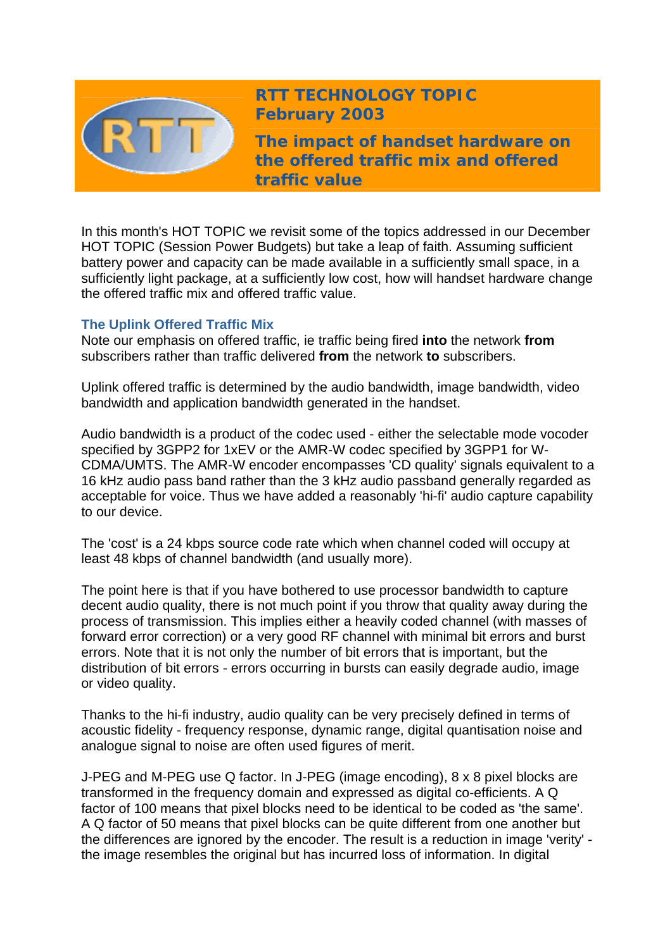

# **RTT TECHNOLOGY TOPIC February 2003**

**The impact of handset hardware on the offered traffic mix and offered traffic value** 

In this month's HOT TOPIC we revisit some of the topics addressed in our December HOT TOPIC (Session Power Budgets) but take a leap of faith. Assuming sufficient battery power and capacity can be made available in a sufficiently small space, in a sufficiently light package, at a sufficiently low cost, how will handset hardware change the offered traffic mix and offered traffic value.

# **The Uplink Offered Traffic Mix**

Note our emphasis on offered traffic, ie traffic being fired **into** the network **from** subscribers rather than traffic delivered **from** the network **to** subscribers.

Uplink offered traffic is determined by the audio bandwidth, image bandwidth, video bandwidth and application bandwidth generated in the handset.

Audio bandwidth is a product of the codec used - either the selectable mode vocoder specified by 3GPP2 for 1xEV or the AMR-W codec specified by 3GPP1 for W-CDMA/UMTS. The AMR-W encoder encompasses 'CD quality' signals equivalent to a 16 kHz audio pass band rather than the 3 kHz audio passband generally regarded as acceptable for voice. Thus we have added a reasonably 'hi-fi' audio capture capability to our device.

The 'cost' is a 24 kbps source code rate which when channel coded will occupy at least 48 kbps of channel bandwidth (and usually more).

The point here is that if you have bothered to use processor bandwidth to capture decent audio quality, there is not much point if you throw that quality away during the process of transmission. This implies either a heavily coded channel (with masses of forward error correction) or a very good RF channel with minimal bit errors and burst errors. Note that it is not only the number of bit errors that is important, but the distribution of bit errors - errors occurring in bursts can easily degrade audio, image or video quality.

Thanks to the hi-fi industry, audio quality can be very precisely defined in terms of acoustic fidelity - frequency response, dynamic range, digital quantisation noise and analogue signal to noise are often used figures of merit.

J-PEG and M-PEG use Q factor. In J-PEG (image encoding), 8 x 8 pixel blocks are transformed in the frequency domain and expressed as digital co-efficients. A Q factor of 100 means that pixel blocks need to be identical to be coded as 'the same'. A Q factor of 50 means that pixel blocks can be quite different from one another but the differences are ignored by the encoder. The result is a reduction in image 'verity' the image resembles the original but has incurred loss of information. In digital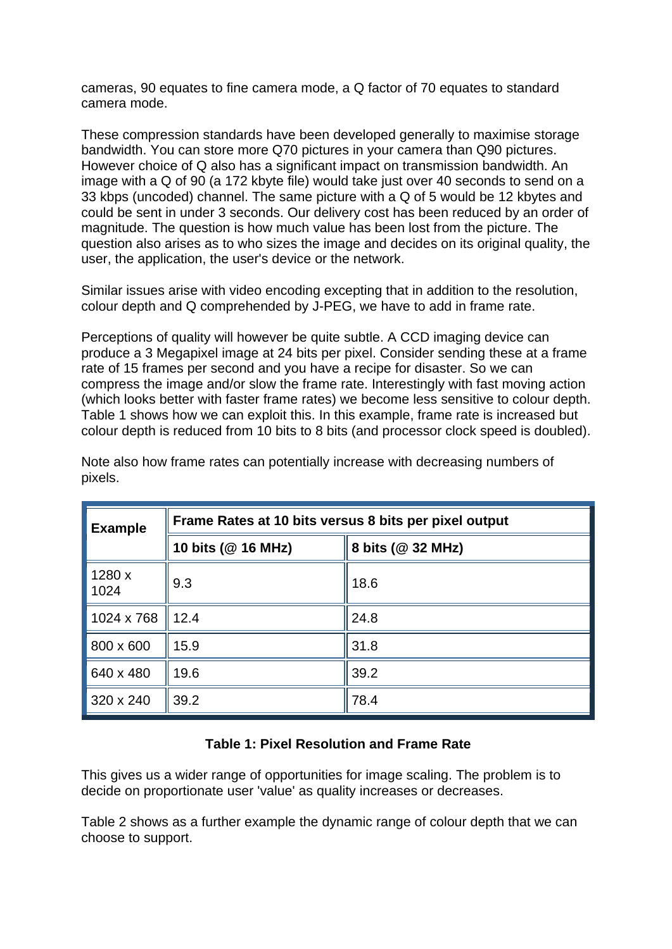cameras, 90 equates to fine camera mode, a Q factor of 70 equates to standard camera mode.

These compression standards have been developed generally to maximise storage bandwidth. You can store more Q70 pictures in your camera than Q90 pictures. However choice of Q also has a significant impact on transmission bandwidth. An image with a Q of 90 (a 172 kbyte file) would take just over 40 seconds to send on a 33 kbps (uncoded) channel. The same picture with a Q of 5 would be 12 kbytes and could be sent in under 3 seconds. Our delivery cost has been reduced by an order of magnitude. The question is how much value has been lost from the picture. The question also arises as to who sizes the image and decides on its original quality, the user, the application, the user's device or the network.

Similar issues arise with video encoding excepting that in addition to the resolution, colour depth and Q comprehended by J-PEG, we have to add in frame rate.

Perceptions of quality will however be quite subtle. A CCD imaging device can produce a 3 Megapixel image at 24 bits per pixel. Consider sending these at a frame rate of 15 frames per second and you have a recipe for disaster. So we can compress the image and/or slow the frame rate. Interestingly with fast moving action (which looks better with faster frame rates) we become less sensitive to colour depth. Table 1 shows how we can exploit this. In this example, frame rate is increased but colour depth is reduced from 10 bits to 8 bits (and processor clock speed is doubled).

| <b>Example</b> | Frame Rates at 10 bits versus 8 bits per pixel output |                   |
|----------------|-------------------------------------------------------|-------------------|
|                | 10 bits (@ 16 MHz)                                    | 8 bits (@ 32 MHz) |
| 1280 x<br>1024 | 9.3                                                   | 18.6              |
| 1024 x 768     | 12.4                                                  | 24.8              |
| 800 x 600      | 15.9                                                  | 31.8              |
| 640 x 480      | 19.6                                                  | 39.2              |
| 320 x 240      | 39.2                                                  | 78.4              |

Note also how frame rates can potentially increase with decreasing numbers of pixels.

# **Table 1: Pixel Resolution and Frame Rate**

This gives us a wider range of opportunities for image scaling. The problem is to decide on proportionate user 'value' as quality increases or decreases.

Table 2 shows as a further example the dynamic range of colour depth that we can choose to support.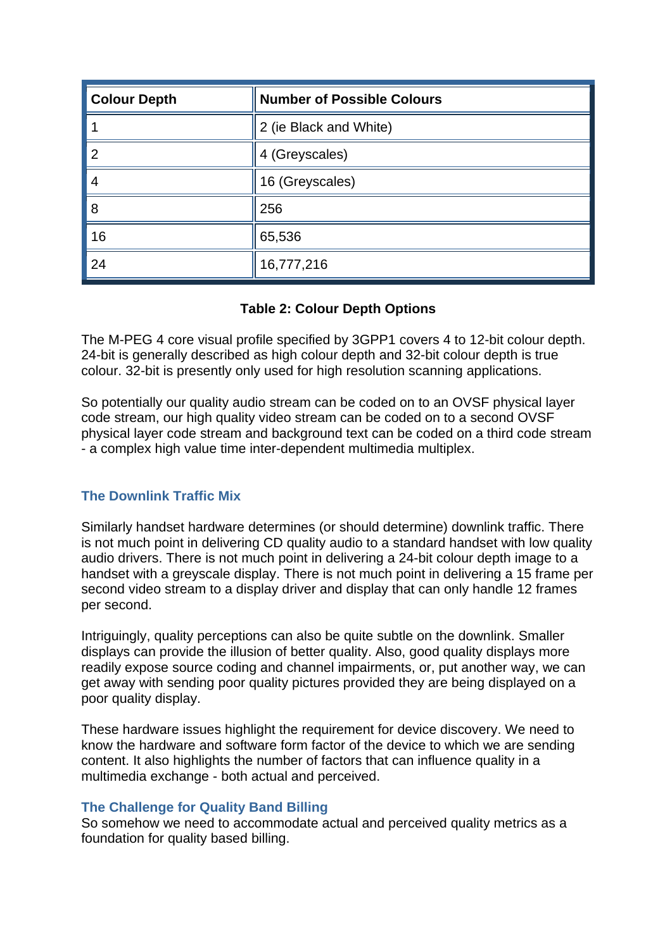| <b>Colour Depth</b> | <b>Number of Possible Colours</b> |
|---------------------|-----------------------------------|
|                     | 2 (ie Black and White)            |
| 2                   | 4 (Greyscales)                    |
| 4                   | 16 (Greyscales)                   |
| 8                   | 256                               |
| 16                  | 65,536                            |
| 24                  | 16,777,216                        |

## **Table 2: Colour Depth Options**

The M-PEG 4 core visual profile specified by 3GPP1 covers 4 to 12-bit colour depth. 24-bit is generally described as high colour depth and 32-bit colour depth is true colour. 32-bit is presently only used for high resolution scanning applications.

So potentially our quality audio stream can be coded on to an OVSF physical layer code stream, our high quality video stream can be coded on to a second OVSF physical layer code stream and background text can be coded on a third code stream - a complex high value time inter-dependent multimedia multiplex.

#### **The Downlink Traffic Mix**

Similarly handset hardware determines (or should determine) downlink traffic. There is not much point in delivering CD quality audio to a standard handset with low quality audio drivers. There is not much point in delivering a 24-bit colour depth image to a handset with a greyscale display. There is not much point in delivering a 15 frame per second video stream to a display driver and display that can only handle 12 frames per second.

Intriguingly, quality perceptions can also be quite subtle on the downlink. Smaller displays can provide the illusion of better quality. Also, good quality displays more readily expose source coding and channel impairments, or, put another way, we can get away with sending poor quality pictures provided they are being displayed on a poor quality display.

These hardware issues highlight the requirement for device discovery. We need to know the hardware and software form factor of the device to which we are sending content. It also highlights the number of factors that can influence quality in a multimedia exchange - both actual and perceived.

#### **The Challenge for Quality Band Billing**

So somehow we need to accommodate actual and perceived quality metrics as a foundation for quality based billing.